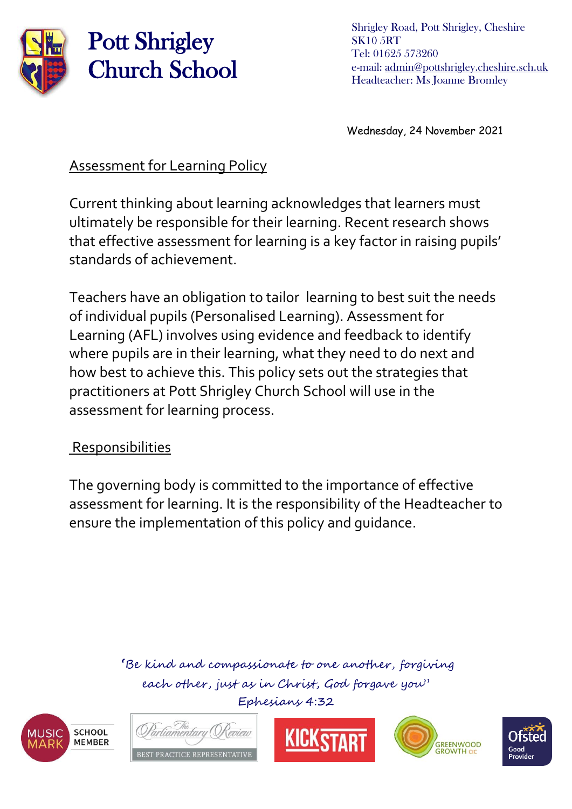

Shrigley Road, Pott Shrigley, Cheshire SK10 5RT Tel: 01625 573260 e-mail: [admin@pottshrigley.cheshire.sch.uk](mailto:admin@pottshrigley.cheshire.sch.uk) Headteacher: Ms Joanne Bromley

Wednesday, 24 November 2021

#### Assessment for Learning Policy

Current thinking about learning acknowledges that learners must ultimately be responsible for their learning. Recent research shows that effective assessment for learning is a key factor in raising pupils' standards of achievement.

Teachers have an obligation to tailor learning to best suit the needs of individual pupils (Personalised Learning). Assessment for Learning (AFL) involves using evidence and feedback to identify where pupils are in their learning, what they need to do next and how best to achieve this. This policy sets out the strategies that practitioners at Pott Shrigley Church School will use in the assessment for learning process.

#### Responsibilities

The governing body is committed to the importance of effective assessment for learning. It is the responsibility of the Headteacher to ensure the implementation of this policy and guidance.









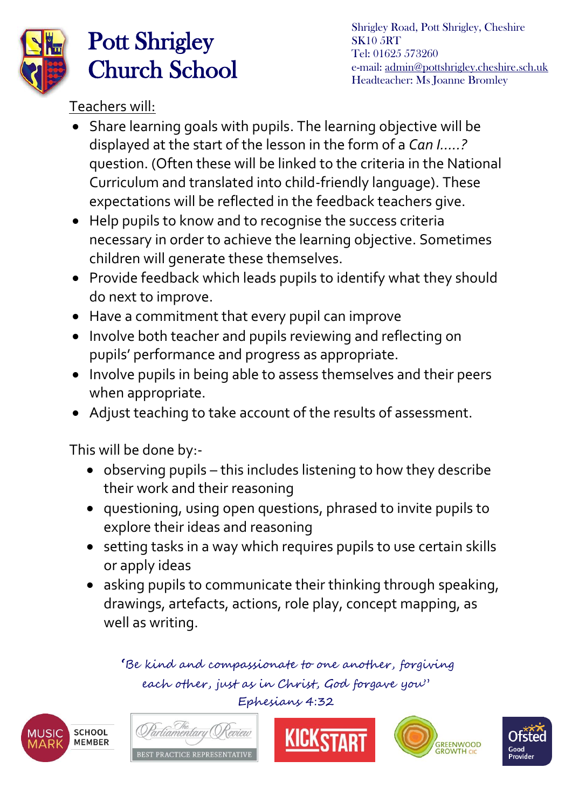

Shrigley Road, Pott Shrigley, Cheshire SK10 5RT Tel: 01625 573260 e-mail: [admin@pottshrigley.cheshire.sch.uk](mailto:admin@pottshrigley.cheshire.sch.uk) Headteacher: Ms Joanne Bromley

Teachers will:

- Share learning goals with pupils. The learning objective will be displayed at the start of the lesson in the form of a *Can I…..?* question. (Often these will be linked to the criteria in the National Curriculum and translated into child-friendly language). These expectations will be reflected in the feedback teachers give.
- Help pupils to know and to recognise the success criteria necessary in order to achieve the learning objective. Sometimes children will generate these themselves.
- Provide feedback which leads pupils to identify what they should do next to improve.
- Have a commitment that every pupil can improve
- Involve both teacher and pupils reviewing and reflecting on pupils' performance and progress as appropriate.
- Involve pupils in being able to assess themselves and their peers when appropriate.
- Adjust teaching to take account of the results of assessment.

This will be done by:-

- observing pupils this includes listening to how they describe their work and their reasoning
- questioning, using open questions, phrased to invite pupils to explore their ideas and reasoning
- setting tasks in a way which requires pupils to use certain skills or apply ideas
- asking pupils to communicate their thinking through speaking, drawings, artefacts, actions, role play, concept mapping, as well as writing.









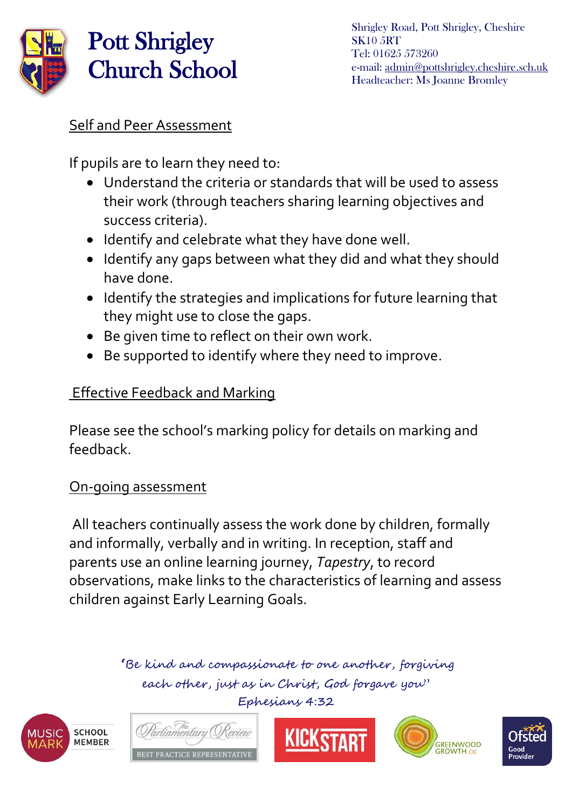

### Self and Peer Assessment

If pupils are to learn they need to:

- Understand the criteria or standards that will be used to assess their work (through teachers sharing learning objectives and success criteria).
- Identify and celebrate what they have done well.
- Identify any gaps between what they did and what they should have done.
- Identify the strategies and implications for future learning that they might use to close the gaps.
- Be given time to reflect on their own work.
- Be supported to identify where they need to improve.

### Effective Feedback and Marking

Please see the school's marking policy for details on marking and feedback.

### On-going assessment

All teachers continually assess the work done by children, formally and informally, verbally and in writing. In reception, staff and parents use an online learning journey, *Tapestry*, to record observations, make links to the characteristics of learning and assess children against Early Learning Goals.









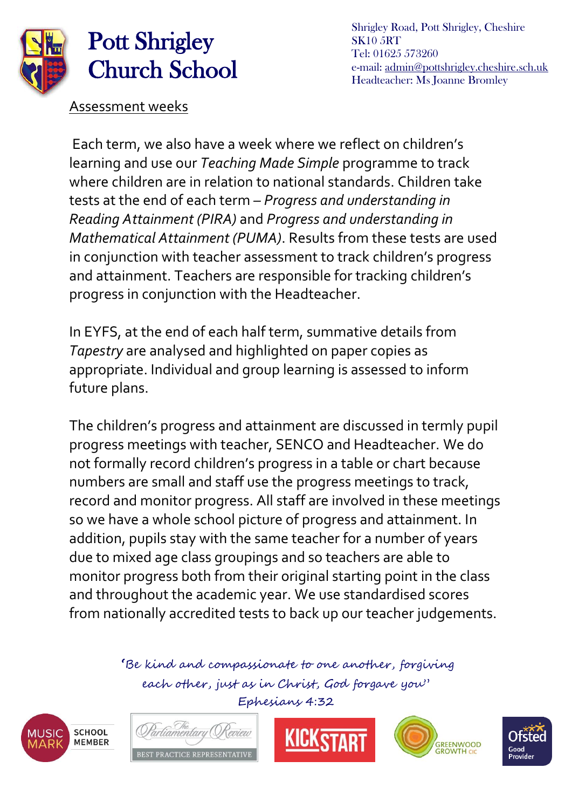

Shrigley Road, Pott Shrigley, Cheshire SK10 5RT Tel: 01625 573260 e-mail: [admin@pottshrigley.cheshire.sch.uk](mailto:admin@pottshrigley.cheshire.sch.uk) Headteacher: Ms Joanne Bromley

Assessment weeks

Each term, we also have a week where we reflect on children's learning and use our *Teaching Made Simple* programme to track where children are in relation to national standards. Children take tests at the end of each term *– Progress and understanding in Reading Attainment (PIRA)* and *Progress and understanding in Mathematical Attainment (PUMA)*. Results from these tests are used in conjunction with teacher assessment to track children's progress and attainment. Teachers are responsible for tracking children's progress in conjunction with the Headteacher.

In EYFS, at the end of each half term, summative details from *Tapestry* are analysed and highlighted on paper copies as appropriate. Individual and group learning is assessed to inform future plans.

The children's progress and attainment are discussed in termly pupil progress meetings with teacher, SENCO and Headteacher. We do not formally record children's progress in a table or chart because numbers are small and staff use the progress meetings to track, record and monitor progress. All staff are involved in these meetings so we have a whole school picture of progress and attainment. In addition, pupils stay with the same teacher for a number of years due to mixed age class groupings and so teachers are able to monitor progress both from their original starting point in the class and throughout the academic year. We use standardised scores from nationally accredited tests to back up our teacher judgements.